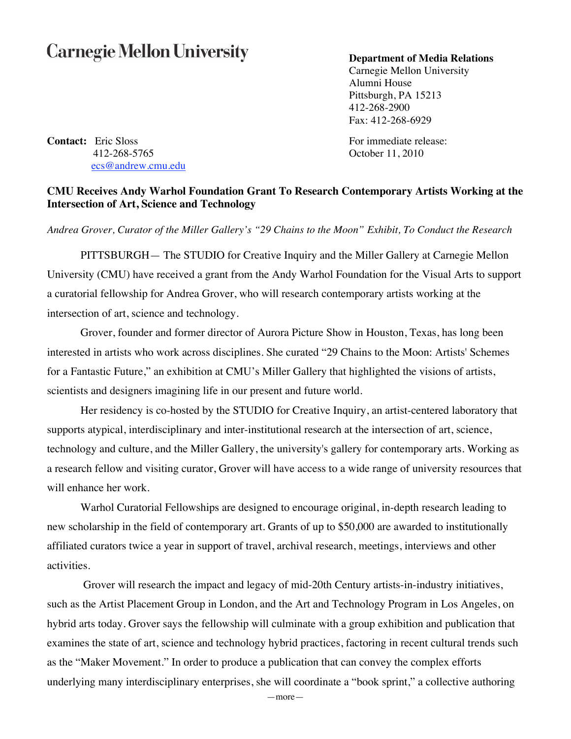## **Carnegie Mellon University**

## **Department of Media Relations**

Carnegie Mellon University Alumni House Pittsburgh, PA 15213 412-268-2900 Fax: 412-268-6929

**Contact:** Eric Sloss For immediate release: 412-268-5765 October 11, 2010 ecs@andrew.cmu.edu

## **CMU Receives Andy Warhol Foundation Grant To Research Contemporary Artists Working at the Intersection of Art, Science and Technology**

*Andrea Grover, Curator of the Miller Gallery's "29 Chains to the Moon" Exhibit, To Conduct the Research*

PITTSBURGH— The STUDIO for Creative Inquiry and the Miller Gallery at Carnegie Mellon University (CMU) have received a grant from the Andy Warhol Foundation for the Visual Arts to support a curatorial fellowship for Andrea Grover, who will research contemporary artists working at the intersection of art, science and technology.

Grover, founder and former director of Aurora Picture Show in Houston, Texas, has long been interested in artists who work across disciplines. She curated "29 Chains to the Moon: Artists' Schemes for a Fantastic Future," an exhibition at CMU's Miller Gallery that highlighted the visions of artists, scientists and designers imagining life in our present and future world.

Her residency is co-hosted by the STUDIO for Creative Inquiry, an artist-centered laboratory that supports atypical, interdisciplinary and inter-institutional research at the intersection of art, science, technology and culture, and the Miller Gallery, the university's gallery for contemporary arts. Working as a research fellow and visiting curator, Grover will have access to a wide range of university resources that will enhance her work.

Warhol Curatorial Fellowships are designed to encourage original, in-depth research leading to new scholarship in the field of contemporary art. Grants of up to \$50,000 are awarded to institutionally affiliated curators twice a year in support of travel, archival research, meetings, interviews and other activities.

Grover will research the impact and legacy of mid-20th Century artists-in-industry initiatives, such as the Artist Placement Group in London, and the Art and Technology Program in Los Angeles, on hybrid arts today. Grover says the fellowship will culminate with a group exhibition and publication that examines the state of art, science and technology hybrid practices, factoring in recent cultural trends such as the "Maker Movement." In order to produce a publication that can convey the complex efforts underlying many interdisciplinary enterprises, she will coordinate a "book sprint," a collective authoring